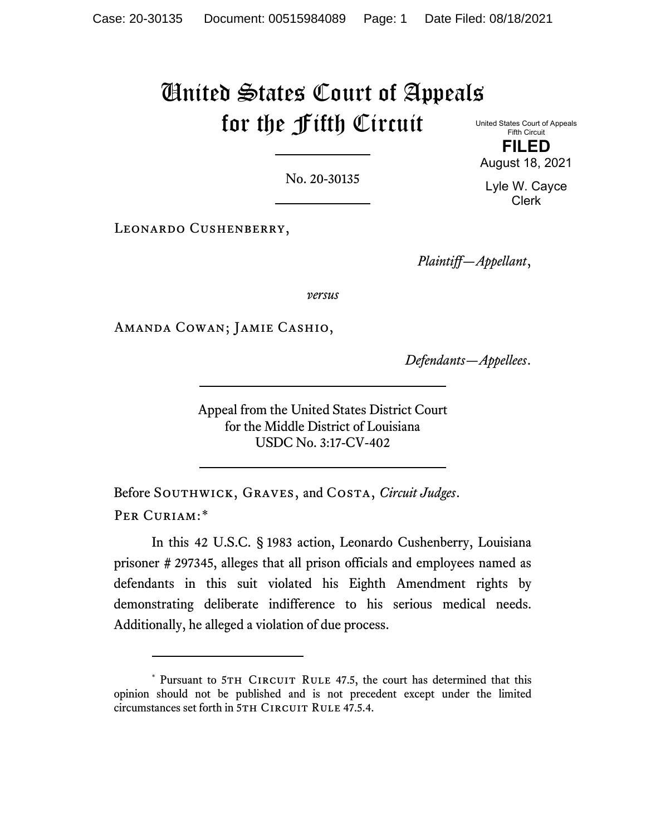## United States Court of Appeals for the Fifth Circuit

United States Court of Appeals Fifth Circuit **FILED**

No. 20-30135

LEONARDO CUSHENBERRY,

*Plaintiff—Appellant*,

*versus*

Amanda Cowan; Jamie Cashio,

*Defendants—Appellees*.

Appeal from the United States District Court for the Middle District of Louisiana USDC No. 3:17-CV-402

Before Southwick, Graves, and Costa, *Circuit Judges*. PER CURIAM:[\\*](#page-0-0)

In this 42 U.S.C. § 1983 action, Leonardo Cushenberry, Louisiana prisoner # 297345, alleges that all prison officials and employees named as defendants in this suit violated his Eighth Amendment rights by demonstrating deliberate indifference to his serious medical needs. Additionally, he alleged a violation of due process.

August 18, 2021 Lyle W. Cayce Clerk

<span id="page-0-0"></span><sup>\*</sup> Pursuant to 5TH CIRCUIT RULE 47.5, the court has determined that this opinion should not be published and is not precedent except under the limited circumstances set forth in 5TH CIRCUIT RULE 47.5.4.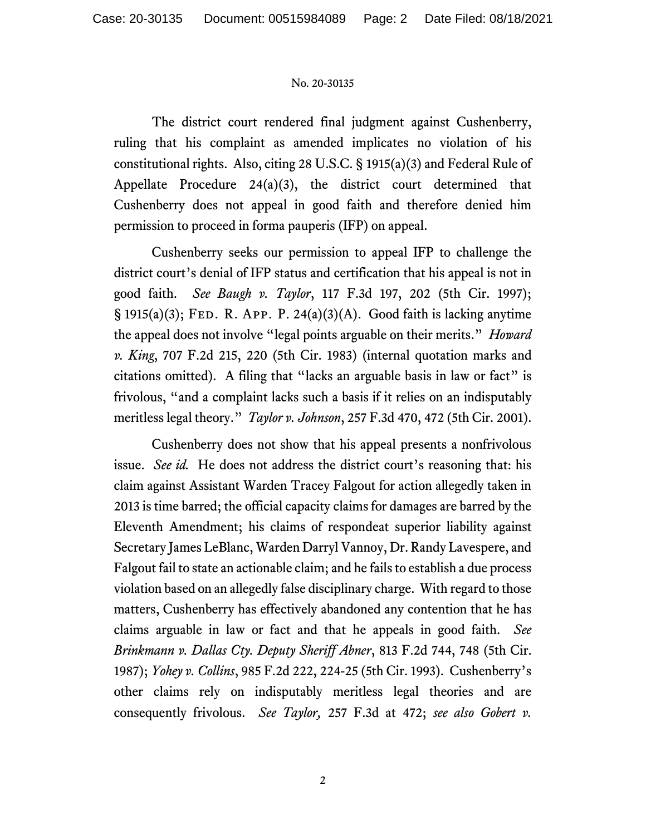## No. 20-30135

The district court rendered final judgment against Cushenberry, ruling that his complaint as amended implicates no violation of his constitutional rights. Also, citing 28 U.S.C. § 1915(a)(3) and Federal Rule of Appellate Procedure 24(a)(3), the district court determined that Cushenberry does not appeal in good faith and therefore denied him permission to proceed in forma pauperis (IFP) on appeal.

Cushenberry seeks our permission to appeal IFP to challenge the district court's denial of IFP status and certification that his appeal is not in good faith. *See Baugh v. Taylor*, 117 F.3d 197, 202 (5th Cir. 1997);  $\S$  1915(a)(3); FED. R. App. P. 24(a)(3)(A). Good faith is lacking anytime the appeal does not involve "legal points arguable on their merits." *Howard v. King*, 707 F.2d 215, 220 (5th Cir. 1983) (internal quotation marks and citations omitted). A filing that "lacks an arguable basis in law or fact" is frivolous, "and a complaint lacks such a basis if it relies on an indisputably meritless legal theory." *Taylor v. Johnson*, 257 F.3d 470, 472 (5th Cir. 2001).

Cushenberry does not show that his appeal presents a nonfrivolous issue. *See id.* He does not address the district court's reasoning that: his claim against Assistant Warden Tracey Falgout for action allegedly taken in 2013 is time barred; the official capacity claims for damages are barred by the Eleventh Amendment; his claims of respondeat superior liability against Secretary James LeBlanc, Warden Darryl Vannoy, Dr. Randy Lavespere, and Falgout fail to state an actionable claim; and he fails to establish a due process violation based on an allegedly false disciplinary charge. With regard to those matters, Cushenberry has effectively abandoned any contention that he has claims arguable in law or fact and that he appeals in good faith. *See Brinkmann v. Dallas Cty. Deputy Sheriff Abner*, 813 F.2d 744, 748 (5th Cir. 1987); *Yohey v. Collins*, 985 F.2d 222, 224-25 (5th Cir. 1993). Cushenberry's other claims rely on indisputably meritless legal theories and are consequently frivolous. *See Taylor,* 257 F.3d at 472; *see also Gobert v.*